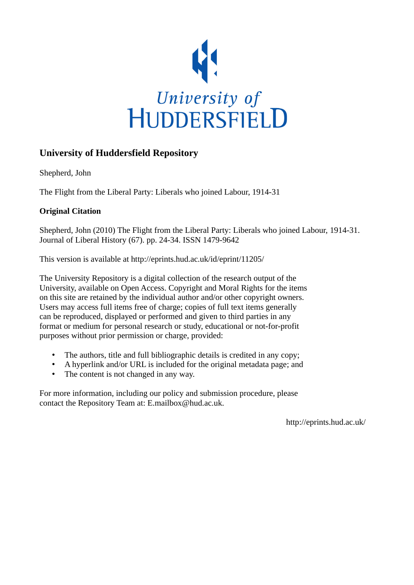

# **University of Huddersfield Repository**

Shepherd, John

The Flight from the Liberal Party: Liberals who joined Labour, 1914-31

# **Original Citation**

Shepherd, John (2010) The Flight from the Liberal Party: Liberals who joined Labour, 1914-31. Journal of Liberal History (67). pp. 24-34. ISSN 1479-9642

This version is available at http://eprints.hud.ac.uk/id/eprint/11205/

The University Repository is a digital collection of the research output of the University, available on Open Access. Copyright and Moral Rights for the items on this site are retained by the individual author and/or other copyright owners. Users may access full items free of charge; copies of full text items generally can be reproduced, displayed or performed and given to third parties in any format or medium for personal research or study, educational or not-for-profit purposes without prior permission or charge, provided:

- The authors, title and full bibliographic details is credited in any copy;
- A hyperlink and/or URL is included for the original metadata page; and
- The content is not changed in any way.

For more information, including our policy and submission procedure, please contact the Repository Team at: E.mailbox@hud.ac.uk.

http://eprints.hud.ac.uk/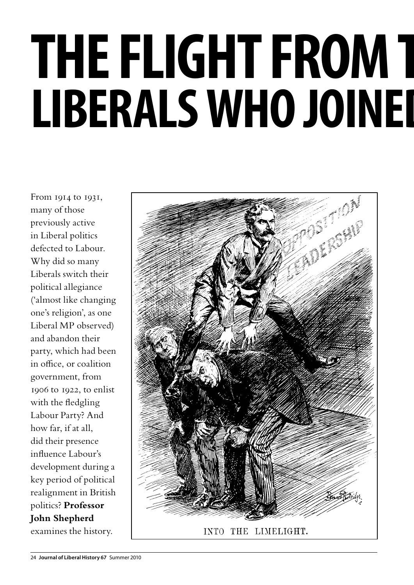# **THE FLIGHT FROM T LIBERALS WHO JOINED**

From 1914 to 1931, many of those previously active in Liberal politics defected to Labour. Why did so many Liberals switch their political allegiance ('almost like changing one's religion', as one Liberal MP observed) and abandon their party, which had been in office, or coalition government, from 1906 to 1922, to enlist with the fledgling Labour Party? And how far, if at all, did their presence influence Labour's development during a key period of political realignment in British politics? **Professor John Shepherd** examines the history.

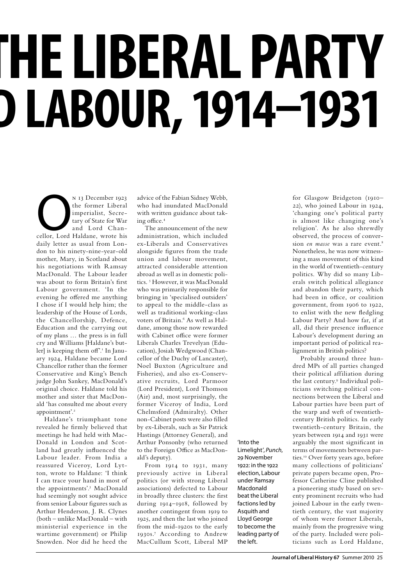# **THE LIBERAL PARTY LIBERALS WHO JOINED LABOUR, 1914–1931**

N 13 December 1923<br>
the former Liberal<br>
imperialist, Secre-<br>
tary of State for War<br>
and Lord Chan-<br>
cellor, Lord Haldane, wrote his the former Liberal imperialist, Secretary of State for War and Lord Chandaily letter as usual from London to his ninety-nine-year-old mother, Mary, in Scotland about his negotiations with Ramsay MacDonald. The Labour leader was about to form Britain's first Labour government. 'In the evening he offered me anything I chose if I would help him; the leadership of the House of Lords, the Chancellorship, Defence, Education and the carrying out of my plans … the press is in full cry and Williams [Haldane's butler] is keeping them off'.<sup>1</sup> In January 1924, Haldane became Lord Chancellor rather than the former Conservative and King's Bench judge John Sankey, MacDonald's original choice. Haldane told his mother and sister that MacDonald 'has consulted me about every appointment'.<sup>2</sup>

Haldane's triumphant tone revealed he firmly believed that meetings he had held with Mac-Donald in London and Scotland had greatly influenced the Labour leader. From India a reassured Viceroy, Lord Lytton, wrote to Haldane: 'I think I can trace your hand in most of the appointments'.3 MacDonald had seemingly not sought advice from senior Labour figures such as Arthur Henderson, J. R. Clynes (both – unlike MacDonald – with ministerial experience in the wartime government) or Philip Snowden. Nor did he heed the

advice of the Fabian Sidney Webb, who had inundated MacDonald with written guidance about taking office.4

The announcement of the new administration, which included ex-Liberals and Conservatives alongside figures from the trade union and labour movement, attracted considerable attention abroad as well as in domestic politics.<sup>5</sup> However, it was MacDonald who was primarily responsible for bringing in 'specialised outsiders' to appeal to the middle-class as well as traditional working-class voters of Britain.<sup>6</sup> As well as Haldane, among those now rewarded with Cabinet office were former Liberals Charles Trevelyan (Education), Josiah Wedgwood (Chancellor of the Duchy of Lancaster), Noel Buxton (Agriculture and Fisheries), and also ex-Conservative recruits, Lord Parmoor (Lord President), Lord Thomson (Air) and, most surprisingly, the former Viceroy of India, Lord Chelmsford (Admiralty). Other non-Cabinet posts were also filled by ex-Liberals, such as Sir Patrick Hastings (Attorney General), and Arthur Ponsonby (who returned to the Foreign Office as MacDonald's deputy).

From 1914 to 1931, many previously active in Liberal politics (or with strong Liberal associations) defected to Labour in broadly three clusters: the first during 1914–1918, followed by another contingent from 1919 to 1925, and then the last who joined from the mid-1920s to the early 1930s.7 According to Andrew MacCullum Scott, Liberal MP

'Into the Limelight', *Punch*, 29 November 1922: in the 1922 election, Labour under Ramsay Macdonald beat the Liberal factions led by Asquith and Lloyd George to become the leading party of the left.

for Glasgow Bridgeton (1910– 22), who joined Labour in 1924, 'changing one's political party is almost like changing one's religion'. As he also shrewdly observed, the process of conversion *en masse* was a rare event.<sup>8</sup> Nonetheless, he was now witnessing a mass movement of this kind in the world of twentieth-century politics. Why did so many Liberals switch political allegiance and abandon their party, which had been in office, or coalition government, from 1906 to 1922, to enlist with the new fledgling Labour Party? And how far, if at all, did their presence influence Labour's development during an important period of political realignment in British politics?

Probably around three hundred MPs of all parties changed their political affiliation during the last century.<sup>9</sup> Individual politicians switching political connections between the Liberal and Labour parties have been part of the warp and weft of twentiethcentury British politics. In early twentieth-century Britain, the years between 1914 and 1931 were arguably the most significant in terms of movements between parties.10 Over forty years ago, before many collections of politicians' private papers became open, Professor Catherine Cline published a pioneering study based on seventy prominent recruits who had joined Labour in the early twentieth century, the vast majority of whom were former Liberals, mainly from the progressive wing of the party. Included were politicians such as Lord Haldane,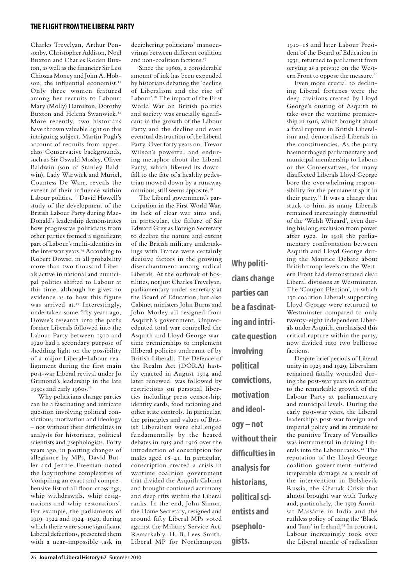Charles Trevelyan, Arthur Ponsonby, Christopher Addison, Noel Buxton and Charles Roden Buxton, as well as the financier Sir Leo Chiozza Money and John A. Hobson, the influential economist.<sup>11</sup> Only three women featured among her recruits to Labour: Mary (Molly) Hamilton, Dorothy Buxton and Helena Swanwick.<sup>12</sup> More recently, two historians have thrown valuable light on this intriguing subject. Martin Pugh's account of recruits from upperclass Conservative backgrounds, such as Sir Oswald Mosley, Oliver Baldwin (son of Stanley Baldwin), Lady Warwick and Muriel, Countess De Warr, reveals the extent of their influence within Labour politics.<sup>13</sup> David Howell's study of the development of the British Labour Party during Mac-Donald's leadership demonstrates how progressive politicians from other parties formed a significant part of Labour's multi-identities in the interwar years.<sup>14</sup> According to Robert Dowse, in all probability more than two thousand Liberals active in national and municipal politics shifted to Labour at this time, although he gives no evidence as to how this figure was arrived at.<sup>15</sup> Interestingly, undertaken some fifty years ago, Dowse's research into the paths former Liberals followed into the Labour Party between 1910 and 1920 had a secondary purpose of shedding light on the possibility of a major Liberal–Labour realignment during the first main post-war Liberal revival under Jo Grimond's leadership in the late 1950s and early 1960s.<sup>16</sup>

Why politicians change parties can be a fascinating and intricate question involving political convictions, motivation and ideology – not without their difficulties in analysis for historians, political scientists and psephologists. Forty years ago, in plotting changes of allegiance by MPs, David Butler and Jennie Freeman noted the labyrinthine complexities of 'compiling an exact and comprehensive list of all floor-crossings, whip withdrawals, whip resignations and whip restorations'. For example, the parliaments of 1919–1922 and 1924–1929, during which there were some significant Liberal defections, presented them with a near-impossible task in

deciphering politicians' manoeuvrings between different coalition and non-coalition factions.17

Since the 1960s, a considerable amount of ink has been expended by historians debating the 'decline of Liberalism and the rise of Labour'.18 The impact of the First World War on British politics and society was crucially significant in the growth of the Labour Party and the decline and even eventual destruction of the Liberal Party. Over forty years on, Trevor Wilson's powerful and enduring metaphor about the Liberal Party, which likened its downfall to the fate of a healthy pedestrian mowed down by a runaway omnibus, still seems apposite.19

The Liberal government's participation in the First World War, its lack of clear war aims and, in particular, the failure of Sir Edward Grey as Foreign Secretary to declare the nature and extent of the British military undertakings with France were certainly decisive factors in the growing disenchantment among radical Liberals. At the outbreak of hostilities, not just Charles Trevelyan, parliamentary under-secretary at the Board of Education, but also Cabinet ministers John Burns and John Morley all resigned from Asquith's government. Unprecedented total war compelled the Asquith and Lloyd George wartime premierships to implement illiberal policies undreamt of by British Liberals. The Defence of the Realm Act (DORA) hastily enacted in August 1914 and later renewed, was followed by restrictions on personal liberties including press censorship, identity cards, food rationing and other state controls. In particular, the principles and values of British Liberalism were challenged fundamentally by the heated debates in 1915 and 1916 over the introduction of conscription for males aged 18–41. In particular, conscription created a crisis in wartime coalition government that divided the Asquith Cabinet and brought continued acrimony and deep rifts within the Liberal ranks. In the end, John Simon, the Home Secretary, resigned and around fifty Liberal MPs voted against the Military Service Act. Remarkably, H. B. Lees-Smith, Liberal MP for Northampton

**cians change parties can be a fascinating and intricate question involving political convictions, motivation and ideology – not without their difficulties in analysis for historians, political scientists and psephologists.**

**Why politi-**

1910–18 and later Labour President of the Board of Education in 1931, returned to parliament from serving as a private on the Western Front to oppose the measure.<sup>20</sup>

Even more crucial to declining Liberal fortunes were the deep divisions created by Lloyd George's ousting of Asquith to take over the wartime premiership in 1916, which brought about a fatal rupture in British Liberalism and demoralised Liberals in the constituencies. As the party haemorrhaged parliamentary and municipal membership to Labour or the Conservatives, for many disaffected Liberals Lloyd George bore the overwhelming responsibility for the permanent split in their party.<sup>21</sup> It was a charge that stuck to him, as many Liberals remained increasingly distrustful of the 'Welsh Wizard', even during his long exclusion from power after 1922. In 1918 the parliamentary confrontation between Asquith and Lloyd George during the Maurice Debate about British troop levels on the Western Front had demonstrated clear Liberal divisions at Westminster. The 'Coupon Election', in which 130 coalition Liberals supporting Lloyd George were returned to Westminster compared to only twenty-eight independent Liberals under Asquith, emphasised this critical rupture within the party, now divided into two bellicose factions.

Despite brief periods of Liberal unity in 1923 and 1929, Liberalism remained fatally wounded during the post-war years in contrast to the remarkable growth of the Labour Party at parliamentary and municipal levels. During the early post-war years, the Liberal leadership's post-war foreign and imperial policy and its attitude to the punitive Treaty of Versailles was instrumental in driving Liberals into the Labour ranks.<sup>22</sup> The reputation of the Lloyd George coalition government suffered irreparable damage as a result of the intervention in Bolshevik Russia, the Chanak Crisis that almost brought war with Turkey and, particularly, the 1919 Amritsar Massacre in India and the ruthless policy of using the 'Black and Tans' in Ireland.<sup>23</sup> In contrast, Labour increasingly took over the Liberal mantle of radicalism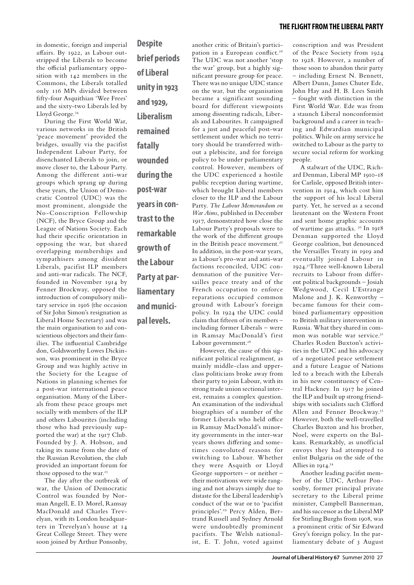in domestic, foreign and imperial affairs. By 1922, as Labour outstripped the Liberals to become the official parliamentary opposition with 142 members in the Commons, the Liberals totalled only 116 MPs divided between fifty-four Asquithian 'Wee Frees' and the sixty-two Liberals led by Lloyd George.<sup>24</sup>

During the First World War, various networks in the British 'peace movement' provided the bridges, usually via the pacifist Independent Labour Party, for disenchanted Liberals to join, or move closer to, the Labour Party. Among the different anti-war groups which sprang up during these years, the Union of Democratic Control (UDC) was the most prominent, alongside the No-Conscription Fellowship (NCF), the Bryce Group and the League of Nations Society. Each had their specific orientation in opposing the war, but shared overlapping memberships and sympathisers among dissident Liberals, pacifist ILP members and anti-war radicals. The NCF, founded in November 1914 by Fenner Brockway, opposed the introduction of compulsory military service in 1916 (the occasion of Sir John Simon's resignation as Liberal Home Secretary) and was the main organisation to aid conscientious objectors and their families. The influential Cambridge don, Goldsworthy Lowes Dickinson, was prominent in the Bryce Group and was highly active in the Society for the League of Nations in planning schemes for a post-war international peace organisation. Many of the Liberals from these peace groups met socially with members of the ILP and others Labourites (including those who had previously supported the war) at the 1917 Club. Founded by J. A. Hobson, and taking its name from the date of the Russian Revolution, the club provided an important forum for those opposed to the war.<sup>25</sup>

The day after the outbreak of war, the Union of Democratic Control was founded by Norman Angell, E. D. Morel, Ramsay MacDonald and Charles Trevelyan, with its London headquarters in Trevelyan's house at 14 Great College Street. They were soon joined by Arthur Ponsonby,

**Despite brief periods of Liberal unity in 1923 and 1929, Liberalism remained fatally wounded during the post-war years in contrast to the remarkable growth of the Labour Party at parliamentary and municipal levels.**

another critic of Britain's participation in a European conflict.<sup>26</sup> The UDC was not another 'stop the war' group, but a highly significant pressure group for peace. There was no unique UDC stance on the war, but the organisation became a significant sounding board for different viewpoints among dissenting radicals, Liberals and Labourites. It campaigned for a just and peaceful post-war settlement under which no territory should be transferred without a plebiscite, and for foreign policy to be under parliamentary control. However, members of the UDC experienced a hostile public reception during wartime, which brought Liberal members closer to the ILP and the Labour Party. *The Labour Memorandum on War Aims*, published in December 1917, demonstrated how close the Labour Party's proposals were to the work of the different groups in the British peace movement.<sup>27</sup> In addition, in the post-war years, as Labour's pro-war and anti-war factions reconciled, UDC condemnation of the punitive Versailles peace treaty and of the French occupation to enforce reparations occupied common ground with Labour's foreign policy. In 1924 the UDC could claim that fifteen of its members – including former Liberals – were in Ramsay MacDonald's first Labour government.<sup>28</sup>

However, the cause of this significant political realignment, as mainly middle-class and upperclass politicians broke away from their party to join Labour, with its strong trade union sectional interest, remains a complex question. An examination of the individual biographies of a number of the former Liberals who held office in Ramsay MacDonald's minority governments in the inter-war years shows differing and sometimes convoluted reasons for switching to Labour. Whether they were Asquith or Lloyd George supporters – or neither – their motivations were wide ranging and not always simply due to distaste for the Liberal leadership's conduct of the war or to 'pacifist principles'.29 Percy Alden, Bertrand Russell and Sydney Arnold were undoubtedly prominent pacifists. The Welsh nationalist, E. T. John, voted against

conscription and was President of the Peace Society from 1924 to 1928. However, a number of those soon to abandon their party – including Ernest N. Bennett, Albert Dunn, James Chuter Ede, John Hay and H. B. Lees Smith – fought with distinction in the First World War. Ede was from a staunch Liberal nonconformist background and a career in teaching and Edwardian municipal politics. While on army service he switched to Labour as the party to secure social reform for working people.

A stalwart of the UDC, Richard Denman, Liberal MP 1910-18 for Carlisle, opposed British intervention in 1914, which cost him the support of his local Liberal party. Yet, he served as a second lieutenant on the Western Front and sent home graphic accounts of wartime gas attacks. 30 In 1918 Denman supported the Lloyd George coalition, but denounced the Versailles Treaty in 1919 and eventually joined Labour in 1924.31Three well-known Liberal recruits to Labour from different political backgrounds – Josiah Wedgwood, Cecil L'Estrange Malone and J. K. Kenworthy – became famous for their combined parliamentary opposition to British military intervention in Russia. What they shared in common was notable war service.<sup>32</sup> Charles Roden Buxton's activities in the UDC and his advocacy of a negotiated peace settlement and a future League of Nations led to a breach with the Liberals in his new constituency of Central Hackney. In 1917 he joined the ILP and built up strong friendships with socialists such Clifford Allen and Fenner Brockway.33 However, both the well-travelled Charles Buxton and his brother, Noel, were experts on the Balkans. Remarkably, as unofficial envoys they had attempted to enlist Bulgaria on the side of the Allies in 1914.34

Another leading pacifist member of the UDC, Arthur Ponsonby, former principal private secretary to the Liberal prime minister, Campbell Bannerman, and his successor as the Liberal MP for Stirling Burghs from 1908, was a prominent critic of Sir Edward Grey's foreign policy. In the parliamentary debate of 3 August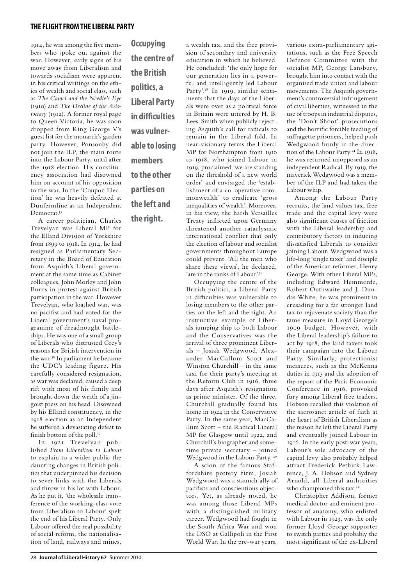1914, he was among the five members who spoke out against the war. However, early signs of his move away from Liberalism and towards socialism were apparent in his critical writings on the ethics of wealth and social class, such as *The Camel and the Needle's Eye*  (1910) and *The Decline of the Aristocracy* (1912). A former royal page to Queen Victoria, he was soon dropped from King George V's guest list for the monarch's garden party. However, Ponsonby did not join the ILP, the main route into the Labour Party, until after the 1918 election. His constituency association had disowned him on account of his opposition to the war. In the 'Coupon Election' he was heavily defeated at Dunfermline as an Independent Democrat.35

A career politician, Charles Trevelyan was Liberal MP for the Elland Division of Yorkshire from 1899 to 1918. In 1914, he had resigned as Parliamentary Secretary in the Board of Education from Asquith's Liberal government at the same time as Cabinet colleagues, John Morley and John Burns in protest against British participation in the war. However Trevelyan, who loathed war, was no pacifist and had voted for the Liberal government's naval programme of dreadnought battleships. He was one of a small group of Liberals who distrusted Grey's reasons for British intervention in the war.36 In parliament he became the UDC's leading figure. His carefully considered resignation, as war was declared, caused a deep rift with most of his family and brought down the wrath of a jingoist press on his head. Disowned by his Elland constituency, in the 1918 election as an Independent he suffered a devastating defeat to finish bottom of the poll.37

In 1921 Trevelyan published *From Liberalism to Labour*  to explain to a wider public the daunting changes in British politics that underpinned his decision to sever links with the Liberals and throw in his lot with Labour. As he put it, 'the wholesale transference of the working-class vote from Liberalism to Labour' spelt the end of his Liberal Party. Only Labour offered the real possibility of social reform, the nationalisation of land, railways and mines,

**Occupying the centre of the British politics, a Liberal Party in difficulties was vulnerable to losing members to the other parties on the left and the right.**

a wealth tax, and the free provision of secondary and university education in which he believed. He concluded: 'the only hope for our generation lies in a powerful and intelligently led Labour Party'.38 In 1919, similar sentiments that the days of the Liberals were over as a political force in Britain were uttered by H. B. Lees-Smith when publicly rejecting Asquith's call for radicals to remain in the Liberal fold. In near-visionary terms the Liberal MP for Northampton from 1910 to 1918, who joined Labour in 1919, proclaimed 'we are standing on the threshold of a new world order' and envisaged the 'establishment of a co-operative commonwealth' to eradicate 'gross inequalities of wealth'. Moreover, in his view, the harsh Versailles Treaty inflicted upon Germany threatened another cataclysmic international conflict that only the election of labour and socialist governments throughout Europe could prevent. 'All the men who

'are in the ranks of Labour'.<sup>39</sup> Occupying the centre of the British politics, a Liberal Party in difficulties was vulnerable to losing members to the other parties on the left and the right. An instructive example of Liberals jumping ship to both Labour and the Conservatives was the arrival of three prominent Liberals – Josiah Wedgwood, Alexander MacCallum Scott and Winston Churchill – in the same taxi for their party's meeting at the Reform Club in 1916, three days after Asquith's resignation as prime minister. Of the three, Churchill gradually found his home in 1924 in the Conservative Party. In the same year, MacCallum Scott – the Radical Liberal MP for Glasgow until 1922, and Churchill's biographer and sometime private secretary – joined Wedgwood in the Labour Party. 40

share these views', he declared,

A scion of the famous Staffordshire pottery firm, Josiah Wedgwood was a staunch ally of pacifists and conscientious objectors. Yet, as already noted, he was among those Liberal MPs with a distinguished military career. Wedgwood had fought in the South Africa War and won the DSO at Gallipoli in the First World War. In the pre-war years,

various extra-parliamentary agitations, such as the Free Speech Defence Committee with the socialist MP, George Lansbury, brought him into contact with the organised trade union and labour movements. The Asquith government's controversial infringement of civil liberties, witnessed in the use of troops in industrial disputes, the 'Don't Shoot' prosecutions and the horrific forcible feeding of suffragette prisoners, helped push Wedgwood firmly in the direction of the Labour Party.<sup>41</sup> In 1918, he was returned unopposed as an independent Radical. By 1919, the maverick Wedgwood was a member of the ILP and had taken the Labour whip.

Among the Labour Party recruits, the land values tax, free trade and the capital levy were also significant causes of friction with the Liberal leadership and contributory factors in inducing dissatisfied Liberals to consider joining Labour. Wedgwood was a life-long 'single taxer' and disciple of the American reformer, Henry George. With other Liberal MPs, including Edward Hemmerde, Robert Outhwaite and J. Dundas White, he was prominent in crusading for a far stronger land tax to rejuvenate society than the tame measure in Lloyd George's 1909 budget. However, with the Liberal leadership's failure to act by 1918, the land taxers took their campaign into the Labour Party. Similarly, protectionist measures, such as the McKenna duties in 1915 and the adoption of the report of the Paris Economic Conference in 1916, provoked fury among Liberal free traders. Hobson recalled this violation of the sacrosanct article of faith at the heart of British Liberalism as the reason he left the Liberal Party and eventually joined Labour in 1916. In the early post-war years, Labour's sole advocacy of the capital levy also probably helped attract Frederick Pethick Lawrence, J. A. Hobson and Sydney Arnold, all Liberal authorities who championed this tax.<sup>42</sup>

Christopher Addison, former medical doctor and eminent professor of anatomy, who enlisted with Labour in 1923, was the only former Lloyd George supporter to switch parties and probably the most significant of the ex-Liberal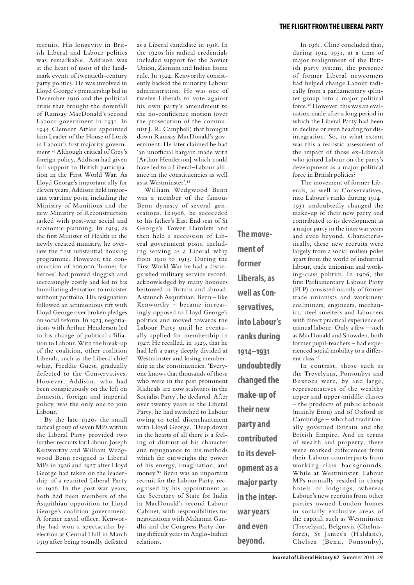# **the flight from theliberal party**

recruits. His longevity in British Liberal and Labour politics was remarkable. Addison was at the heart of most of the landmark events of twentieth-century party politics. He was involved in Lloyd George's premiership bid in December 1916 and the political crisis that brought the downfall of Ramsay MacDonald's second Labour government in 1931. In 1945 Clement Attlee appointed him Leader of the House of Lords in Labour's first majority government.43 Although critical of Grey's foreign policy, Addison had given full support to British participation in the First World War. As Lloyd George's important ally for eleven years, Addison held important wartime posts, including the Ministry of Munitions and the new Ministry of Reconstruction tasked with post-war social and economic planning. In 1919, as the first Minister of Health in the newly created ministry, he oversaw the first substantial housing programme. However, the construction of 200,000 'homes for heroes' had proved sluggish and increasingly costly and led to his humiliating demotion to minister without portfolio. His resignation followed an acrimonious rift with Lloyd George over broken pledges on social reform. In 1923, negotiations with Arthur Henderson led to his change of political affiliation to Labour. With the break-up of the coalition, other coalition Liberals, such as the Liberal chief whip, Freddie Guest, gradually defected to the Conservatives. However, Addison, who had been conspicuously on the left on domestic, foreign and imperial policy, was the only one to join Labour.

By the late 1920s the small radical group of seven MPs within the Liberal Party provided two further recruits for Labour. Joseph Kenworthy and William Wedgwood Benn resigned as Liberal MPs in 1926 and 1927 after Lloyd George had taken on the leadership of a reunited Liberal Party in 1926. In the post-war years, both had been members of the Asquithian opposition to Lloyd George's coalition government. A former naval officer, Kenworthy had won a spectacular byelection at Central Hull in March 1919 after being roundly defeated as a Liberal candidate in 1918. In the 1920s his radical credentials included support for the Soviet Union, Zionism and Indian home rule. In 1924, Kenworthy consistently backed the minority Labour administration. He was one of twelve Liberals to vote against his own party's amendment to the no-confidence motion (over the prosecution of the communist J. R. Campbell) that brought down Ramsay MacDonald's government. He later claimed he had 'an unofficial bargain made with [Arthur Henderson] which could have led to a Liberal–Labour alliance in the constituencies as well as at Westminster'.44

William Wedgwood Benn was a member of the famous Benn dynasty of several generations. In1906, he succeeded to his father's East End seat of St George's Tower Hamlets and then held a succession of Liberal government posts, including serving as a Liberal whip from 1910 to 1915. During the First World War he had a distinguished military service record, acknowledged by many honours bestowed in Britain and abroad. A staunch Asquithian, Benn – like Kenworthy – became increasingly opposed to Lloyd George's politics and moved towards the Labour Party until he eventually applied for membership in 1927. He recalled, in 1929, that he had left a party deeply divided at Westminster and losing membership in the constituencies. 'Everyone knows that thousands of those who were in the past prominent Radicals are now stalwarts in the Socialist Party', he declared. After over twenty years in the Liberal Party, he had switched to Labour owing to total disenchantment with Lloyd George. 'Deep down in the hearts of all there is a feeling of distrust of his character and repugnance to his methods which far outweighs the power of his energy, imagination, and money.'45 Benn was an important recruit for the Labour Party, recognised by his appointment as the Secretary of State for India in MacDonald's second Labour Cabinet, with responsibilities for negotiations with Mahatma Gandhi and the Congress Party during difficult years in Anglo-Indian relations.

**The movement of former Liberals, as well as Conservatives, into Labour's ranks during 1914–1931 undoubtedly changed the make-up of their new party and contributed to its development as a major party in the interwar years and even beyond.**

In 1961, Cline concluded that, during 1914–1931, at a time of major realignment of the British party system, the presence of former Liberal newcomers had helped change Labour radically from a parliamentary splinter group into a major political force.46 However, this was an evaluation made after a long period in which the Liberal Party had been in decline or even heading for disintegration. So, to what extent was this a realistic assessment of the impact of those ex-Liberals who joined Labour on the party's development as a major political force in British politics?

The movement of former Liberals, as well as Conservatives, into Labour's ranks during 1914– 1931 undoubtedly changed the make-up of their new party and contributed to its development as a major party in the interwar years and even beyond. Characteristically, these new recruits were largely from a social milieu poles apart from the world of industrial labour, trade unionism and working-class politics. In 1906, the first Parliamentary Labour Party (PLP) consisted mainly of former trade unionists and workmen: coalminers, engineers, mechanics, steel smelters and labourers with direct practical experience of manual labour. Only a few – such as MacDonald and Snowden, both former pupil-teachers – had experienced social mobility to a different class<sup>47</sup>

In contrast, those such as the Trevelyans, Ponsonbys and Buxtons were, by and large, representatives of the wealthy upper and upper-middle classes – the products of public schools (mainly Eton) and of Oxford or Cambridge – who had traditionally governed Britain and the British Empire. And in terms of wealth and property, there were marked differences from their Labour counterparts from working-class backgrounds. While at Westminster, Labour MPs normally resided in cheap hotels or lodgings, whereas Labour's new recruits from other parties owned London homes in socially exclusive areas of the capital, such as Westminster (Trevelyan), Belgravia (Chelmsford), St James's (Haldane), Chelsea (Benn, Ponsonby),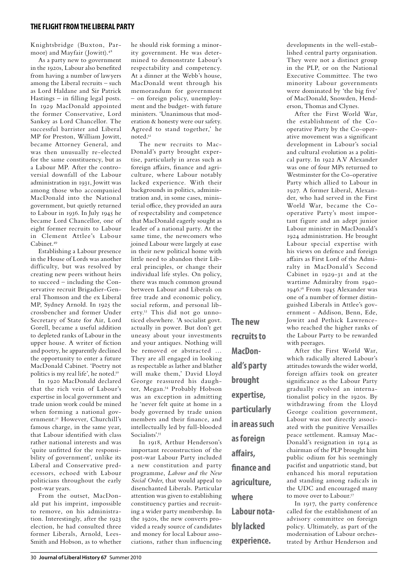## **the flight from theliberal party**

Knightsbridge (Buxton, Parmoor) and Mayfair (Jowitt).48

As a party new to government in the 1920s, Labour also benefited from having a number of lawyers among the Liberal recruits – such as Lord Haldane and Sir Patrick Hastings – in filling legal posts. In 1929 MacDonald appointed the former Conservative, Lord Sankey as Lord Chancellor. The successful barrister and Liberal MP for Preston, William Jowitt, became Attorney General, and was then unusually re-elected for the same constituency, but as a Labour MP. After the controversial downfall of the Labour administration in 1931, Jowitt was among those who accompanied MacDonald into the National government, but quietly returned to Labour in 1936. In July 1945 he became Lord Chancellor, one of eight former recruits to Labour in Clement Attlee's Labour Cabinet.49

Establishing a Labour presence in the House of Lords was another difficulty, but was resolved by creating new peers without heirs to succeed – including the Conservative recruit Brigadier-General Thomson and the ex Liberal MP, Sydney Arnold. In 1925 the crossbencher and former Under Secretary of State for Air, Lord Gorell, became a useful addition to depleted ranks of Labour in the upper house. A writer of fiction and poetry, he apparently declined the opportunity to enter a future MacDonald Cabinet. 'Poetry not politics is my real life', he noted.<sup>50</sup>

In 1920 MacDonald declared that the rich vein of Labour's expertise in local government and trade union work could be mined when forming a national government.51 However, Churchill's famous charge, in the same year, that Labour identified with class rather national interests and was 'quite unfitted for the responsibility of government', unlike its Liberal and Conservative predecessors, echoed with Labour politicians throughout the early post-war years.

From the outset, MacDonald put his imprint, impossible to remove, on his administration. Interestingly, after the 1923 election, he had consulted three former Liberals, Arnold, Lees-Smith and Hobson, as to whether he should risk forming a minority government. He was determined to demonstrate Labour's respectability and competency. At a dinner at the Webb's house, MacDonald went through his memorandum for government – on foreign policy, unemployment and the budget- with future ministers. 'Unanimous that moderation & honesty were our safety. Agreed to stand together,' he noted.52

The new recruits to Mac-Donald's party brought expertise, particularly in areas such as foreign affairs, finance and agriculture, where Labour notably lacked experience. With their backgrounds in politics, administration and, in some cases, ministerial office, they provided an aura of respectability and competence that MacDonald eagerly sought as leader of a national party. At the same time, the newcomers who joined Labour were largely at ease in their new political home with little need to abandon their Liberal principles, or change their individual life styles. On policy, there was much common ground between Labour and Liberals on free trade and economic policy, social reform, and personal liberty.53 This did not go unnoticed elsewhere. 'A socialist govt. actually in power. But don't get uneasy about your investments and your antiques. Nothing will be removed or abstracted … They are all engaged in looking as respectable as lather and blather will make them,' David Lloyd George reassured his daughter, Megan.<sup>54</sup> Probably Hobson was an exception in admitting he 'never felt quite at home in a body governed by trade union members and their finance, and intellectually led by full-blooded Socialists'.55

In 1918, Arthur Henderson's important reconstruction of the post-war Labour Party included a new constitution and party programme, *Labour and the New Social Order*, that would appeal to disenchanted Liberals. Particular attention was given to establishing constituency parties and recruiting a wider party membership. In the 1920s, the new converts provided a ready source of candidates and money for local Labour associations, rather than influencing

**recruits to MacDonald's party brought expertise, particularly in areas such as foreign affairs, finance and agriculture, where Labour notably lacked experience.**

**The new** 

developments in the well-established central party organisation. They were not a distinct group in the PLP, or on the National Executive Committee. The two minority Labour governments were dominated by 'the big five' of MacDonald, Snowden, Henderson, Thomas and Clynes.

After the First World War, the establishment of the Cooperative Party by the Co-operative movement was a significant development in Labour's social and cultural evolution as a political party. In 1922 A.V Alexander was one of four MPs returned to Westminster for the Co-operative Party which allied to Labour in 1927. A former Liberal, Alexander, who had served in the First World War, became the Cooperative Party's most important figure and an adept junior Labour minister in MacDonald's 1924 administration. He brought Labour special expertise with his views on defence and foreign affairs as First Lord of the Admiralty in MacDonald's Second Cabinet in 1929-31 and at the wartime Admiralty from 1940- 1946.56 From 1945 Alexander was one of a number of former distinguished Liberals in Attlee's government - Addison, Benn, Ede, Jowitt and Pethick Lawrencewho reached the higher ranks of the Labour Party to be rewarded with peerages.

After the First World War, which radically altered Labour's attitudes towards the wider world, foreign affairs took on greater significance as the Labour Party gradually evolved an internationalist policy in the 1920s. By withdrawing from the Lloyd George coalition government, Labour was not directly associated with the punitive Versailles peace settlement. Ramsay Mac-Donald's resignation in 1914 as chairman of the PLP brought him public odium for his seemingly pacifist and unpatriotic stand, but enhanced his moral reputation and standing among radicals in the UDC and encouraged many to move over to Labour.<sup>57</sup>

In 1917, the party conference called for the establishment of an advisory committee on foreign policy. Ultimately, as part of the modernisation of Labour orchestrated by Arthur Henderson and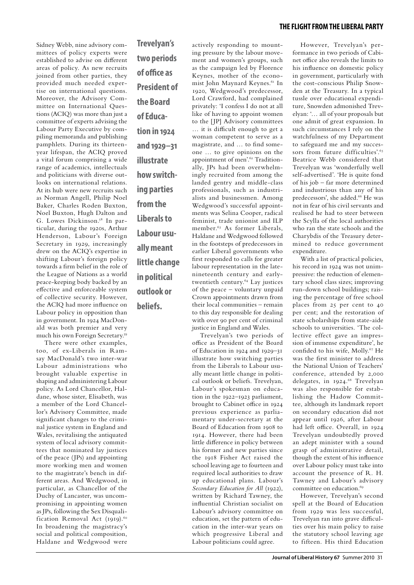Sidney Webb, nine advisory committees of policy experts were established to advise on different areas of policy. As new recruits joined from other parties, they provided much needed expertise on international questions. Moreover, the Advisory Committee on International Questions (ACIQ) was more than just a committee of experts advising the Labour Party Executive by compiling memoranda and publishing pamphlets. During its thirteenyear lifespan, the ACIQ proved a vital forum comprising a wide range of academics, intellectuals and politicians with diverse outlooks on international relations. At its hub were new recruits such as Norman Angell, Philip Noel Baker, Charles Roden Buxton, Noel Buxton, Hugh Dalton and G. Lowes Dickinson.<sup>58</sup> In particular, during the 1920s, Arthur Henderson, Labour's Foreign Secretary in 1929, increasingly drew on the ACIQ's expertise in shifting Labour's foreign policy towards a firm belief in the role of the League of Nations as a world peace-keeping body backed by an effective and enforceable system of collective security. However, the ACIQ had more influence on Labour policy in opposition than in government. In 1924 MacDonald was both premier and very much his own Foreign Secretary.59

There were other examples, too, of ex-Liberals in Ramsay MacDonald's two inter-war Labour administrations who brought valuable expertise in shaping and administering Labour policy. As Lord Chancellor, Haldane, whose sister, Elisabeth, was a member of the Lord Chancellor's Advisory Committee, made significant changes to the criminal justice system in England and Wales, revitalising the antiquated system of local advisory committees that nominated lay justices of the peace (JPs) and appointing more working men and women to the magistrate's bench in different areas. And Wedgwood, in particular, as Chancellor of the Duchy of Lancaster, was uncompromising in appointing women as JPs, following the Sex Disqualification Removal Act (1919).<sup>60</sup> In broadening the magistracy's social and political composition, Haldane and Wedgwood were

**Trevelyan's two periods of office as President of the Board of Education in 1924 and 1929–31 illustrate how switching parties from the Liberals to Labour usually meant little change in political outlook or beliefs.**

actively responding to mounting pressure by the labour movement and women's groups, such as the campaign led by Florence Keynes, mother of the economist John Maynard Keynes.<sup>61</sup> In 1920, Wedgwood's predecessor, Lord Crawford, had complained privately: 'I confess I do not at all like of having to appoint women to the [JP] Advisory committees … it is difficult enough to get a woman competent to serve as a magistrate, and … to find someone … to give opinions on the appointment of men'.62 Traditionally, JPs had been overwhelmingly recruited from among the landed gentry and middle-class professionals, such as industrialists and businessmen. Among Wedgwood's successful appointments was Selina Cooper, radical feminist, trade unionist and ILP member.<sup>63</sup> As former Liberals, Haldane and Wedgwood followed in the footsteps of predecessors in earlier Liberal governments who first responded to calls for greater labour representation in the latenineteenth century and earlytwentieth century.64 Lay justices of the peace – voluntary unpaid Crown appointments drawn from their local communities – remain to this day responsible for dealing with over 90 per cent of criminal justice in England and Wales.

Trevelyan's two periods of office as President of the Board of Education in 1924 and 1929–31 illustrate how switching parties from the Liberals to Labour usually meant little change in political outlook or beliefs. Trevelyan, Labour's spokesman on education in the 1922–1923 parliament, brought to Cabinet office in 1924 previous experience as parliamentary under-secretary at the Board of Education from 1908 to 1914. However, there had been little difference in policy between his former and new parties since the 1918 Fisher Act raised the school leaving age to fourteen and required local authorities to draw up educational plans. Labour's *Secondary Education for All* (1922), written by Richard Tawney, the influential Christian socialist on Labour's advisory committee on education, set the pattern of education in the inter-war years on which progressive Liberal and Labour politicians could agree.

However, Trevelyan's performance in two periods of Cabinet office also reveals the limits to his influence on domestic policy in government, particularly with the cost-conscious Philip Snowden at the Treasury. In a typical tussle over educational expenditure, Snowden admonished Trevelyan: '… all of your proposals but one admit of great expansion. In such circumstances I rely on the watchfulness of my Department to safeguard me and my successors from future difficulties'.<sup>65</sup> Beatrice Webb considered that Trevelyan was 'wonderfully well self-advertised'. 'He is quite fond of his job – far more determined and industrious than any of his predecessors', she added.<sup>66</sup> He was not in fear of his civil servants and realised he had to steer between the Scylla of the local authorities who ran the state schools and the Charybdis of the Treasury determined to reduce government expenditure.

With a list of practical policies, his record in 1924 was not unimpressive: the reduction of elementary school class sizes; improving run-down school buildings; raising the percentage of free school places from 25 per cent to 40 per cent; and the restoration of state scholarships from state-aide schools to universities. 'The collective effect gave an impression of immense expenditure', he confided to his wife, Molly.<sup>67</sup> He was the first minister to address the National Union of Teachers' conference, attended by 2,000 delegates, in 1924.<sup>68</sup> Trevelyan was also responsible for establishing the Hadow Committee, although its landmark report on secondary education did not appear until 1926, after Labour had left office. Overall, in 1924 Trevelyan undoubtedly proved an adept minister with a sound grasp of administrative detail, though the extent of his influence over Labour policy must take into account the presence of R. H. Tawney and Labour's advisory committee on education.<sup>69</sup>

However, Trevelyan's second spell at the Board of Education from 1929 was less successful, Trevelyan ran into grave difficulties over his main policy to raise the statutory school leaving age to fifteen. His third Education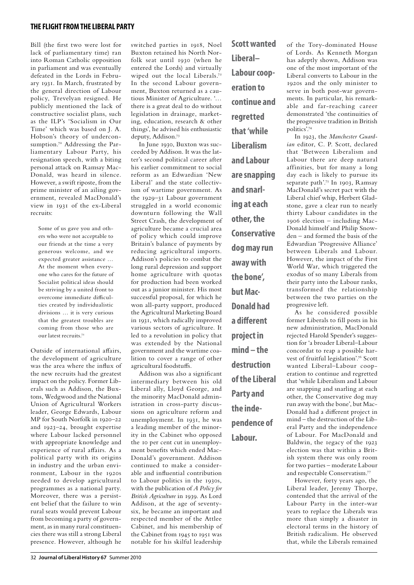## **the flight from theliberal party**

Bill (the first two were lost for lack of parliamentary time) ran into Roman Catholic opposition in parliament and was eventually defeated in the Lords in February 1931. In March, frustrated by the general direction of Labour policy, Trevelyan resigned. He publicly mentioned the lack of constructive socialist plans, such as the ILP's 'Socialism in Our Time' which was based on J. A. Hobson's theory of underconsumption.70 Addressing the Parliamentary Labour Party, his resignation speech, with a biting personal attack on Ramsay Mac-Donald, was heard in silence. However, a swift riposte, from the prime minister of an ailing government, revealed MacDonald's view in 1931 of the ex-Liberal recruits:

Some of us gave you and others who were not acceptable to our friends at the time a very generous welcome, and we expected greater assistance … At the moment when everyone who cares for the future of Socialist political ideas should be striving by a united front to overcome immediate difficulties created by individualistic divisions … it is very curious that the greatest troubles are coming from those who are our latest recruits.71

Outside of international affairs, the development of agriculture was the area where the influx of the new recruits had the greatest impact on the policy. Former Liberals such as Addison, the Buxtons, Wedgwood and the National Union of Agricultural Workers leader, George Edwards, Labour MP for South Norfolk in 1920–22 and 1923–24, brought expertise where Labour lacked personnel with appropriate knowledge and experience of rural affairs. As a political party with its origins in industry and the urban environment, Labour in the 1920s needed to develop agricultural programmes as a national party. Moreover, there was a persistent belief that the failure to win rural seats would prevent Labour from becoming a party of government, as in many rural constituencies there was still a strong Liberal presence. However, although he

switched parties in 1918, Noel Buxton retained his North Norfolk seat until 1930 (when he entered the Lords) and virtually wiped out the local Liberals.<sup>72</sup> In the second Labour government, Buxton returned as a cautious Minister of Agriculture. '… there is a great deal to do without legislation in drainage, marketing, education, research & other things', he advised his enthusiastic deputy, Addison.73

In June 1930, Buxton was succeeded by Addison. It was the latter's second political career after his earlier commitment to social reform as an Edwardian 'New Liberal' and the state collectivism of wartime government. As the 1929–31 Labour government struggled in a world economic downturn following the Wall Street Crash, the development of agriculture became a crucial area of policy which could improve Britain's balance of payments by reducing agricultural imports. Addison's policies to combat the long rural depression and support home agriculture with quotas for production had been worked out as a junior minister. His most successful proposal, for which he won all-party support, produced the Agricultural Marketing Board in 1931, which radically improved various sectors of agriculture. It led to a revolution in policy that was extended by the National government and the wartime coalition to cover a range of other agricultural foodstuffs.

Addison was also a significant intermediary between his old Liberal ally, Lloyd George, and the minority MacDonald administration in cross-party discussions on agriculture reform and unemployment. In 1931, he was a leading member of the minority in the Cabinet who opposed the 10 per cent cut in unemployment benefits which ended Mac-Donald's government. Addison continued to make a considerable and influential contribution to Labour politics in the 1930s, with the publication of *A Policy for British Agriculture* in 1939. As Lord Addison, at the age of seventysix, he became an important and respected member of the Attlee Cabinet, and his membership of the Cabinet from 1945 to 1951 was notable for his skilful leadership

**Scott wanted Liberal– Labour cooperation to continue and regretted that 'while Liberalism and Labour are snapping and snarling at each other, the Conservative dog may run away with the bone', but Mac-Donald had a different project in mind – the destruction of the Liberal Party and the independence of** 

**Labour.**

of the Tory-dominated House of Lords. As Kenneth Morgan has adeptly shown, Addison was one of the most important of the Liberal converts to Labour in the 1920s and the only minister to serve in both post-war governments. In particular, his remarkable and far-reaching career demonstrated 'the continuities of the progressive tradition in British politics'.74

In 1923, the *Manchester Guardian* editor, C. P. Scott, declared that 'Between Liberalism and Labour there are deep natural affinities, but for many a long day each is likely to pursue its separate path'.<sup>75</sup> In 1903, Ramsay MacDonald's secret pact with the Liberal chief whip, Herbert Gladstone, gave a clear run to nearly thirty Labour candidates in the 1906 election – including Mac-Donald himself and Philip Snowden – and formed the basis of the Edwardian 'Progressive Alliance' between Liberals and Labour. However, the impact of the First World War, which triggered the exodus of so many Liberals from their party into the Labour ranks, transformed the relationship between the two parties on the progressive left.

As he considered possible former Liberals to fill posts in his new administration, MacDonald rejected Harold Spender's suggestion for 'a broader Liberal–Labour concordat to reap a possible harvest of fruitful legislation'.76 Scott wanted Liberal–Labour cooperation to continue and regretted that 'while Liberalism and Labour are snapping and snarling at each other, the Conservative dog may run away with the bone', but Mac-Donald had a different project in mind – the destruction of the Liberal Party and the independence of Labour. For MacDonald and Baldwin, the 1egacy of the 1923 election was that within a British system there was only room for two parties – moderate Labour and respectable Conservatism.77

However, forty years ago, the Liberal leader, Jeremy Thorpe, contended that the arrival of the Labour Party in the inter-war years to replace the Liberals was more than simply a disaster in electoral terms in the history of British radicalism. He observed that, while the Liberals remained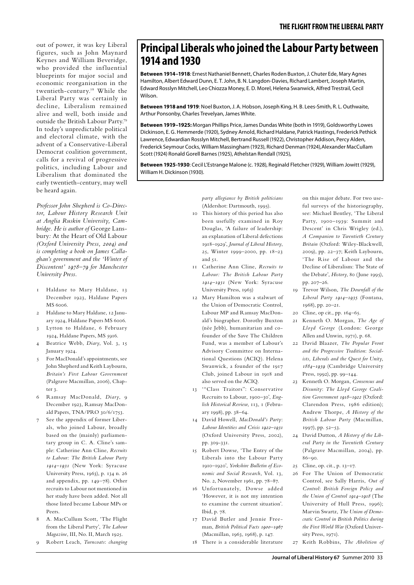out of power, it was key Liberal figures, such as John Maynard Keynes and William Beveridge, who provided the influential blueprints for major social and economic reorganisation in the twentieth-century.78 While the Liberal Party was certainly in decline, Liberalism remained alive and well, both inside and outside the British Labour Party.79 In today's unpredictable political and electoral climate, with the advent of a Conservative-Liberal Democrat coalition government, calls for a revival of progressive politics, including Labour and Liberalism that dominated the early twentieth-century, may well be heard again.

*Professor John Shepherd is Co-Director, Labour History Research Unit at Anglia Ruskin University, Cambridge. He is author of* George Lansbury*:* At the Heart of Old Labour *(Oxford University Press, 2004) and is completing a book on James Callaghan's government and the 'Winter of Discontent' 1978–79 for Manchester University Press.*

- 1 Haldane to Mary Haldane, 13 December 1923, Haldane Papers MS 6006.
- 2 Haldane to Mary Haldane, 12 January 1924, Haldane Papers MS 6006.
- 3 Lytton to Haldane, 6 February 1924, Haldane Papers, MS 5916.
- 4 Beatrice Webb, *Diary*, Vol. 3, 15 January 1924.
- 5 For MacDonald's appointments, see John Shepherd and Keith Laybourn, *Britain's First Labour Government*  (Palgrave Macmillan, 2006), Chapter 3.
- 6 Ramsay MacDonald, *Diary*, 9 December 1923, Ramsay MacDonald Papers, TNA/PRO 30/6/1753.
- See the appendix of former Liberals, who joined Labour, broadly based on the (mainly) parliamentary group in C. A. Cline's sample: Catherine Ann Cline, *Recruits to Labour: The British Labour Party 1914–1931* (New York: Syracuse University Press, 1963), p. 134 n. 26 and appendix, pp. 149–78). Other recruits to Labour not mentioned in her study have been added. Not all those listed became Labour MPs or Peers.
- 8 A. MacCullum Scott, 'The Flight from the Liberal Party', *The Labour Magazine*, III, No. II, March 1925.
- 9 Robert Leach, *Turncoats*: *changing*

# **Principal Liberals who joined the Labour Party between 1914 and 1930**

**Between 1914–1918***:* Ernest Nathaniel Bennett, Charles Roden Buxton, J. Chuter Ede, Mary Agnes Hamilton, Albert Edward Dunn, E. T. John, B. N. Langdon-Davies, Richard Lambert, Joseph Martin, Edward Rosslyn Mitchell, Leo Chiozza Money, E. D. Morel, Helena Swanwick, Alfred Trestrail, Cecil Wilson.

**Between 1918 and 1919***:* Noel Buxton, J. A. Hobson, Joseph King, H. B. Lees-Smith, R. L. Outhwaite, Arthur Ponsonby, Charles Trevelyan, James White.

**Between 1919–1925:** Morgan Phillips Price, James Dundas White (both in 1919), Goldsworthy Lowes Dickinson, E. G. Hemmerde (1920), Sydney Arnold, Richard Haldane, Patrick Hastings, Frederick Pethick Lawrence, Edwardian Rosslyn Mitchell, Bertrand Russell (1922), Christopher Addison, Percy Alden, Frederick Seymour Cocks, William Massingham (1923), Richard Denman (1924),Alexander MacCullam Scott (1924) Ronald Gorell Barnes (1925), Athelstan Rendall (1925),

**Between 1925-1930**: Cecil L'Estrange Malone (c. 1928), Reginald Fletcher (1929), William Jowitt (1929), William H. Dickinson (1930).

> *party allegiance by British politicians*  (Aldershot: Dartmouth, 1995).

- 10 This history of this period has also been usefully examined in Roy Douglas, 'A failure of leadership: an explanation of Liberal defections 1918–1929', *Journal of Liberal History*, 25, Winter 1999–2000, pp. 18–23 and 51.
- 11 Catherine Ann Cline, *Recruits to Labour: The British Labour Party 1914–1931* (New York: Syracuse University Press, 1963)
- 12 Mary Hamilton was a stalwart of the Union of Democratic Control, Labour MP and Ramsay MacDonald's biographer. Dorothy Buxton (née Jebb), humanitarian and cofounder of the Save The Children Fund, was a member of Labour's Advisory Committee on International Questions (ACIQ). Helena Swanwick, a founder of the 1917 Club, joined Labour in 1918 and also served on the ACIQ.
- 13 '"Class Traitors": Conservative Recruits to Labour, 1900*–*30', *English Historical Review*, 113, 1 (February 1998), pp. 38*–*64.
- 14 David Howell, *MacDonald's Party*: *Labour Identities and Crisis 1922–1931* (Oxford University Press, 2002), pp. 309-331.
- 15 Robert Dowse, 'The Entry of the Liberals into the Labour Party 1910–1920', *Yorkshire Bulletin of Economic and Social Research*, Vol. 13, No. 2, November 1961, pp. 78–87.
- 16 Unfortunately, Dowse added 'However, it is not my intention to examine the current situation'. Ibid, p. 78.
- 17 David Butler and Jennie Freeman, *British Political Facts 1900–1967* (Macmillan, 1963, 1968), p. 147.
- 18 There is a considerable literature

on this major debate. For two useful surveys of the historiography, see: Michael Bentley, 'The Liberal Party, 1900*–*1939: Summit and Descent' in Chris Wrigley (ed.), *A Companion to Twentieth Century Britain* (Oxford: Wiley-Blackwell, 2009), pp. 22*–*37; Keith Laybourn, 'The Rise of Labour and the Decline of Liberalism: The State of the Debate', *History*, 80 (June 1995), pp. 207*–*26.

- 19 Trevor Wilson, *The Downfall of the Liberal Party 1914–1935* (Fontana, 1968), pp. 20–21.
- 20 Cline, op cit., pp. 164–65.
- 21 Kenneth O. Morgan, *The Age of Lloyd George* (London: George Allen and Unwin, 1971), p. 68.
- 22 David Blaazer, *The Popular Front and the Progressive Tradition*: *Socialists, Liberals and the Quest for Unity, 1884–1939* (Cambridge University Press, 1992), pp. 99–144.
- 23 Kenneth O. Morgan, *Consensus and Disunity*: *The Lloyd George Coalition Government 1918–1922* (Oxford: Clarendon Press, 1986 edition); Andrew Thorpe, *A History of the British Labour Party* (Macmillan, 1997), pp. 52*–*53.
- 24 David Dutton, *A History of the Liberal Party in the Twentieth Century*  (Palgrave Macmillan, 2004), pp. 86*–*90.
- 25 Cline, op. cit., p. 13*–*17.
- 26 For The Union of Democratic Control, see Sally Harris, *Out of Control*: *British Foreign Policy and the Union of Control 1914–1918* (The University of Hull Press, 1996); Marvin Swartz, *The Union of Democratic Control in British Politics during the First World War* (Oxford University Press, 1971).
- 27 Keith Robbins, *The Abolition of*